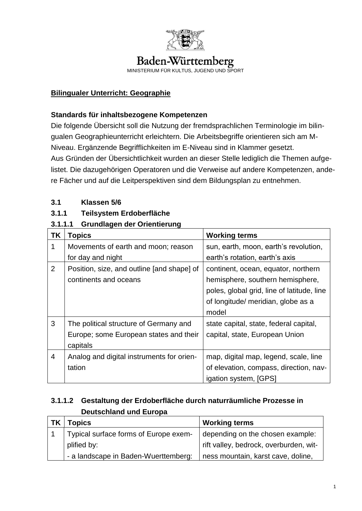

# Baden-Württemberg

MINISTERIUM FÜR KULTUS, JUGEND UND SPORT

#### **Bilingualer Unterricht: Geographie**

#### **Standards für inhaltsbezogene Kompetenzen**

Die folgende Übersicht soll die Nutzung der fremdsprachlichen Terminologie im bilingualen Geographieunterricht erleichtern. Die Arbeitsbegriffe orientieren sich am M-Niveau. Ergänzende Begrifflichkeiten im E-Niveau sind in Klammer gesetzt. Aus Gründen der Übersichtlichkeit wurden an dieser Stelle lediglich die Themen aufgelistet. Die dazugehörigen Operatoren und die Verweise auf andere Kompetenzen, andere Fächer und auf die Leitperspektiven sind dem Bildungsplan zu entnehmen.

#### **3.1 Klassen 5/6**

#### **3.1.1 Teilsystem Erdoberfläche**

#### **3.1.1.1 Grundlagen der Orientierung**

| TK             | <b>Topics</b>                              | <b>Working terms</b>                       |
|----------------|--------------------------------------------|--------------------------------------------|
| 1              | Movements of earth and moon; reason        | sun, earth, moon, earth's revolution,      |
|                | for day and night                          | earth's rotation, earth's axis             |
| $\overline{2}$ | Position, size, and outline [and shape] of | continent, ocean, equator, northern        |
|                | continents and oceans                      | hemisphere, southern hemisphere,           |
|                |                                            | poles, global grid, line of latitude, line |
|                |                                            | of longitude/ meridian, globe as a         |
|                |                                            | model                                      |
| 3              | The political structure of Germany and     | state capital, state, federal capital,     |
|                | Europe; some European states and their     | capital, state, European Union             |
|                | capitals                                   |                                            |
| $\overline{4}$ | Analog and digital instruments for orien-  | map, digital map, legend, scale, line      |
|                | tation                                     | of elevation, compass, direction, nav-     |
|                |                                            | igation system, [GPS]                      |

## **3.1.1.2 Gestaltung der Erdoberfläche durch naturräumliche Prozesse in Deutschland und Europa**

| <b>TK</b> | <b>Topics</b>                         | <b>Working terms</b>                   |
|-----------|---------------------------------------|----------------------------------------|
|           | Typical surface forms of Europe exem- | depending on the chosen example:       |
|           | plified by:                           | rift valley, bedrock, overburden, wit- |
|           | - a landscape in Baden-Wuerttemberg:  | ness mountain, karst cave, doline,     |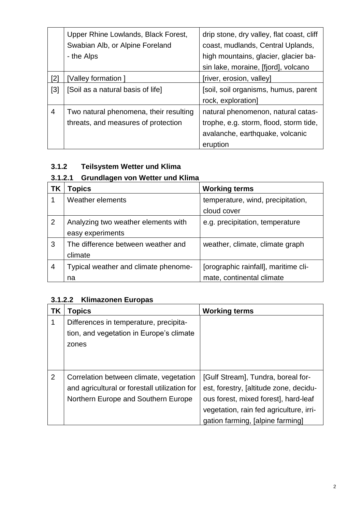|                | Upper Rhine Lowlands, Black Forest,    | drip stone, dry valley, flat coast, cliff |
|----------------|----------------------------------------|-------------------------------------------|
|                | Swabian Alb, or Alpine Foreland        | coast, mudlands, Central Uplands,         |
|                | - the Alps                             | high mountains, glacier, glacier ba-      |
|                |                                        | sin lake, moraine, [fjord], volcano       |
| [2]            | [Valley formation]                     | [river, erosion, valley]                  |
| $[3]$          | [Soil as a natural basis of life]      | [soil, soil organisms, humus, parent      |
|                |                                        | rock, exploration]                        |
| $\overline{4}$ | Two natural phenomena, their resulting | natural phenomenon, natural catas-        |
|                | threats, and measures of protection    | trophe, e.g. storm, flood, storm tide,    |
|                |                                        | avalanche, earthquake, volcanic           |
|                |                                        | eruption                                  |

## **3.1.2 Teilsystem Wetter und Klima**

## **3.1.2.1 Grundlagen von Wetter und Klima**

| ΤK             | Topics                               | <b>Working terms</b>                 |
|----------------|--------------------------------------|--------------------------------------|
|                | Weather elements                     | temperature, wind, precipitation,    |
|                |                                      | cloud cover                          |
| $\overline{2}$ | Analyzing two weather elements with  | e.g. precipitation, temperature      |
|                | easy experiments                     |                                      |
| 3              | The difference between weather and   | weather, climate, climate graph      |
|                | climate                              |                                      |
| 4              | Typical weather and climate phenome- | [orographic rainfall], maritime cli- |
|                | na                                   | mate, continental climate            |

## **3.1.2.2 Klimazonen Europas**

| ΤK | Topics                                        | <b>Working terms</b>                    |
|----|-----------------------------------------------|-----------------------------------------|
| 1  | Differences in temperature, precipita-        |                                         |
|    | tion, and vegetation in Europe's climate      |                                         |
|    | zones                                         |                                         |
|    |                                               |                                         |
|    |                                               |                                         |
| 2  | Correlation between climate, vegetation       | [Gulf Stream], Tundra, boreal for-      |
|    | and agricultural or forestall utilization for | est, forestry, [altitude zone, decidu-  |
|    | Northern Europe and Southern Europe           | ous forest, mixed forest], hard-leaf    |
|    |                                               | vegetation, rain fed agriculture, irri- |
|    |                                               | gation farming, [alpine farming]        |